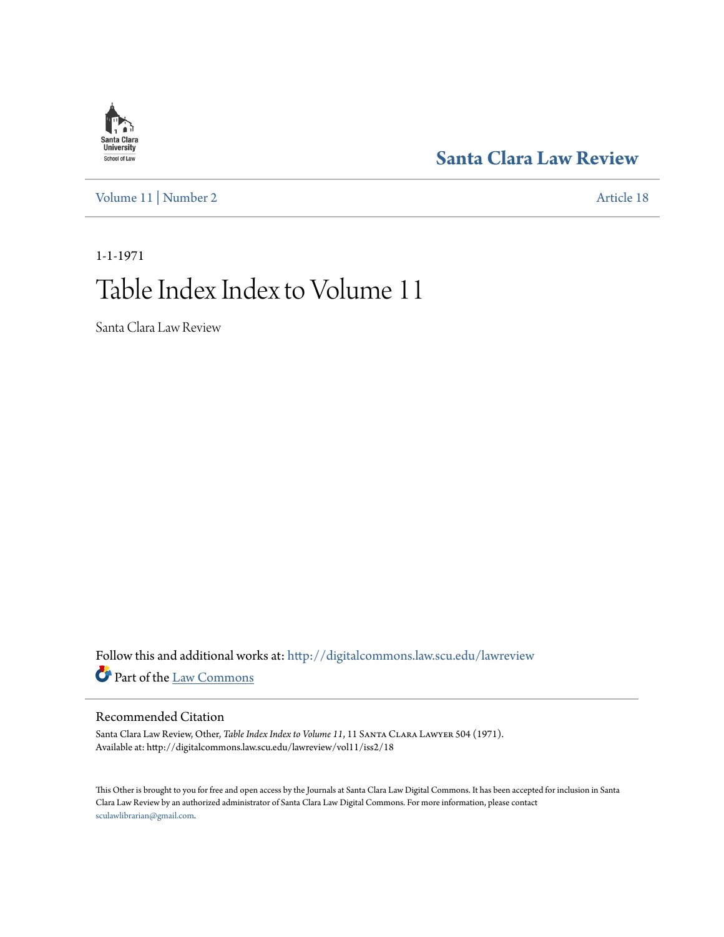## **[Santa Clara Law Review](http://digitalcommons.law.scu.edu/lawreview?utm_source=digitalcommons.law.scu.edu%2Flawreview%2Fvol11%2Fiss2%2F18&utm_medium=PDF&utm_campaign=PDFCoverPages)**

[Volume 11](http://digitalcommons.law.scu.edu/lawreview/vol11?utm_source=digitalcommons.law.scu.edu%2Flawreview%2Fvol11%2Fiss2%2F18&utm_medium=PDF&utm_campaign=PDFCoverPages) | [Number 2](http://digitalcommons.law.scu.edu/lawreview/vol11/iss2?utm_source=digitalcommons.law.scu.edu%2Flawreview%2Fvol11%2Fiss2%2F18&utm_medium=PDF&utm_campaign=PDFCoverPages) [Article 18](http://digitalcommons.law.scu.edu/lawreview/vol11/iss2/18?utm_source=digitalcommons.law.scu.edu%2Flawreview%2Fvol11%2Fiss2%2F18&utm_medium=PDF&utm_campaign=PDFCoverPages)

# 1-1-1971 Table Index Index to Volume 11

Santa Clara Law Review

Follow this and additional works at: [http://digitalcommons.law.scu.edu/lawreview](http://digitalcommons.law.scu.edu/lawreview?utm_source=digitalcommons.law.scu.edu%2Flawreview%2Fvol11%2Fiss2%2F18&utm_medium=PDF&utm_campaign=PDFCoverPages) Part of the [Law Commons](http://network.bepress.com/hgg/discipline/578?utm_source=digitalcommons.law.scu.edu%2Flawreview%2Fvol11%2Fiss2%2F18&utm_medium=PDF&utm_campaign=PDFCoverPages)

#### Recommended Citation

Santa Clara Law Review, Other, *Table Index Index to Volume 11*, 11 SANTA CLARA LAWYER 504 (1971). Available at: http://digitalcommons.law.scu.edu/lawreview/vol11/iss2/18

This Other is brought to you for free and open access by the Journals at Santa Clara Law Digital Commons. It has been accepted for inclusion in Santa Clara Law Review by an authorized administrator of Santa Clara Law Digital Commons. For more information, please contact [sculawlibrarian@gmail.com](mailto:sculawlibrarian@gmail.com).

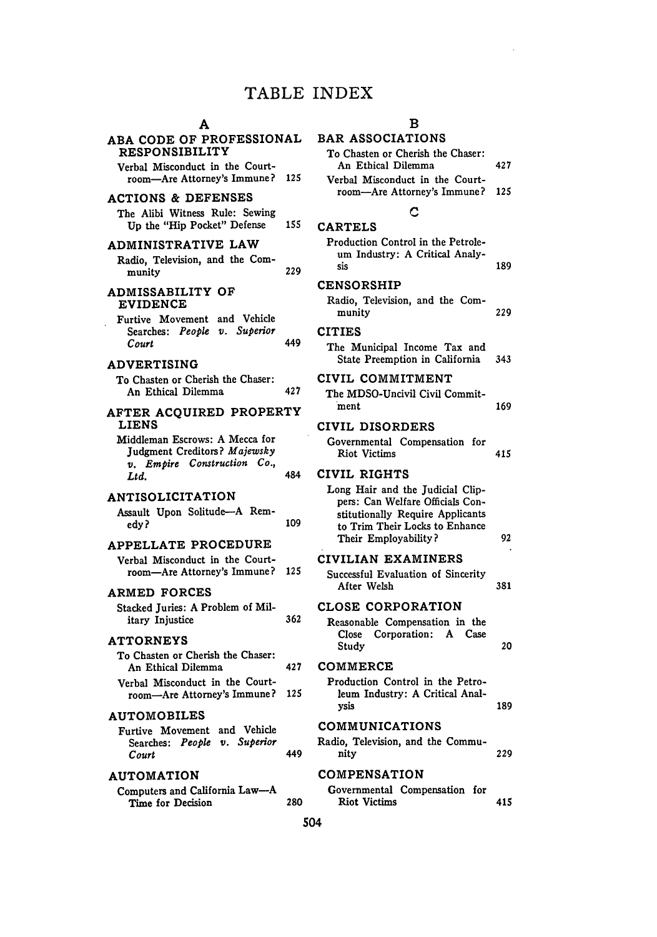### TABLE INDEX

### **A**

 $\ddot{\phantom{a}}$ 

| ABA CODE OF PROFESSIONAL<br><b>RESPONSIBILITY</b><br>Verbal Misconduct in the Court-                                                            |     | <b>BAR A</b><br>To Cha<br>An I              |
|-------------------------------------------------------------------------------------------------------------------------------------------------|-----|---------------------------------------------|
| room-Are Attorney's Immune?<br><b>ACTIONS &amp; DEFENSES</b>                                                                                    | 125 | Verbal<br>room                              |
| The Alibi Witness Rule: Sewing<br>Up the "Hip Pocket" Defense                                                                                   | 155 | <b>CARTE</b>                                |
| ADMINISTRATIVE LAW<br>Radio, Television, and the Com-<br>munity                                                                                 | 229 | Produc<br>um I<br>sis                       |
| ADMISSABILITY OF<br><b>EVIDENCE</b>                                                                                                             |     | <b>CENSO</b><br>Radio,<br>muni              |
| Furtive Movement and Vehicle<br>Searches: People v. Superior<br>Court<br><b>ADVERTISING</b>                                                     | 449 | <b>CITIES</b><br>The M<br>State             |
| To Chasten or Cherish the Chaser:<br>An Ethical Dilemma                                                                                         | 427 | CIVIL<br>The MI                             |
| <b>AFTER ACQUIRED PROPERTY</b><br><b>LIENS</b><br>Middleman Escrows: A Mecca for<br>Judgment Creditors? Majewsky<br>v. Empire Construction Co., |     | ment<br><b>CIVIL</b><br>Govern<br>Riot      |
| Ltd.                                                                                                                                            | 484 | <b>CIVIL</b>                                |
| <b>ANTISOLICITATION</b><br>Assault Upon Solitude-A Rem-<br>edy?<br>APPELLATE PROCEDURE                                                          | 109 | Long I<br>pers:<br>stitut<br>to Ti<br>Their |
| Verbal Misconduct in the Court-<br>room—Are Attorney's Immune?                                                                                  | 125 | CIVILI<br><b>Success</b><br>After           |
| <b>ARMED FORCES</b><br>Stacked Juries: A Problem of Mil-<br>itary Injustice                                                                     | 362 | <b>CLOSE</b><br>Reason<br><b>Close</b>      |
| <b>ATTORNEYS</b><br>To Chasten or Cherish the Chaser:<br>An Ethical Dilemma                                                                     | 427 | Stud<br>COMM:                               |
| Verbal Misconduct in the Court-<br>room-Are Attorney's Immune?                                                                                  | 125 | Produc<br>leum<br>vsis                      |
| <b>AUTOMOBILES</b>                                                                                                                              |     | COMM <sup>.</sup>                           |
| Furtive Movement and Vehicle<br>Searches: People v. Superior<br>Court                                                                           | 449 | Radio, T<br>nity                            |
| <b>AUTOMATION</b>                                                                                                                               |     | COMPI                                       |
| Computers and California Law-A<br>Time for Decision                                                                                             | 280 | Govern<br>Riot                              |

#### B

 $\bar{z}$ 

### **ASSOCIATIONS**

| To Chasten or Cherish the Chaser:<br>An Ethical Dilemma                                                                                                            | 427 |
|--------------------------------------------------------------------------------------------------------------------------------------------------------------------|-----|
| Verbal Misconduct in the Court-<br>room-Are Attorney's Immune?                                                                                                     | 125 |
| С                                                                                                                                                                  |     |
| <b>CARTELS</b>                                                                                                                                                     |     |
| Production Control in the Petrole-<br>um Industry: A Critical Analy-<br>sis                                                                                        | 189 |
| <b>CENSORSHIP</b>                                                                                                                                                  |     |
| Radio, Television, and the Com-<br>munity                                                                                                                          | 229 |
| <b>CITIES</b>                                                                                                                                                      |     |
| The Municipal Income Tax and<br>State Preemption in California                                                                                                     | 343 |
| CIVIL COMMITMENT                                                                                                                                                   |     |
| The MDSO-Uncivil Civil Commit-<br>ment                                                                                                                             | 169 |
| CIVIL DISORDERS                                                                                                                                                    |     |
| Governmental Compensation for<br><b>Riot Victims</b>                                                                                                               | 415 |
| CIVIL RIGHTS                                                                                                                                                       |     |
| Long Hair and the Judicial Clip-<br>pers: Can Welfare Officials Con-<br>stitutionally Require Applicants<br>to Trim Their Locks to Enhance<br>Their Employability? | 92  |
| CIVILIAN EXAMINERS                                                                                                                                                 |     |
| Successful Evaluation of Sincerity<br>After Welsh                                                                                                                  | 381 |
| <b>CLOSE CORPORATION</b>                                                                                                                                           |     |
| Reasonable Compensation in the<br>Close Corporation: A Case<br>Study                                                                                               | 20  |
| COMMERCE                                                                                                                                                           |     |
| Production Control in the Petro-<br>leum Industry: A Critical Anal-<br>ysis                                                                                        | 189 |
| <b>COMMUNICATIONS</b>                                                                                                                                              |     |
| Radio, Television, and the Commu-<br>nity                                                                                                                          | 229 |
| <b>COMPENSATION</b>                                                                                                                                                |     |
| Governmental Compensation for<br><b>Riot Victims</b>                                                                                                               | 415 |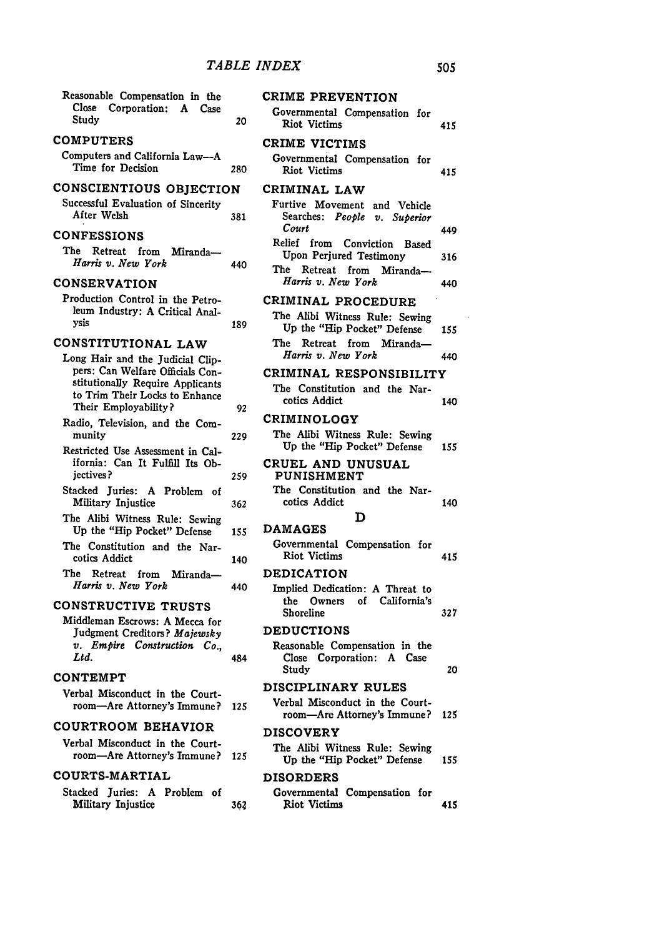| Reasonable Compensation in the<br>Close Corporation:<br>A<br>Case<br>Study                                                     | 20  | CRIME PREVENTION<br>Governmental Compensation for<br><b>Riot Victims</b>                      | 415 |
|--------------------------------------------------------------------------------------------------------------------------------|-----|-----------------------------------------------------------------------------------------------|-----|
| <b>COMPUTERS</b>                                                                                                               |     | CRIME VICTIMS                                                                                 |     |
| Computers and California Law-A<br>Time for Decision                                                                            | 280 | Governmental Compensation for<br><b>Riot</b> Victims                                          | 415 |
| CONSCIENTIOUS OBJECTION<br>Successful Evaluation of Sincerity<br>After Welsh                                                   | 381 | CRIMINAL LAW<br>Furtive Movement and Vehicle<br>Searches: People v. Superior                  |     |
| <b>CONFESSIONS</b>                                                                                                             |     | Court                                                                                         | 449 |
| The Retreat from<br>Miranda-<br>Harris v. New York                                                                             | 440 | Relief from Conviction<br>Based<br>Upon Perjured Testimony<br>The<br>Retreat from<br>Miranda- | 316 |
| <b>CONSERVATION</b>                                                                                                            |     | Harris v. New York                                                                            | 440 |
| Production Control in the Petro-<br>leum Industry: A Critical Anal-<br>ysis                                                    | 189 | CRIMINAL PROCEDURE<br>The Alibi Witness Rule: Sewing<br>Up the "Hip Pocket" Defense           | 155 |
| CONSTITUTIONAL LAW<br>Long Hair and the Judicial Clip-                                                                         |     | The Retreat from<br>Miranda-<br>Harris v. New York                                            | 440 |
| pers: Can Welfare Officials Con-<br>stitutionally Require Applicants<br>to Trim Their Locks to Enhance<br>Their Employability? | 92  | CRIMINAL RESPONSIBILITY<br>The Constitution and the Nar-<br>cotics Addict                     | 140 |
| Radio, Television, and the Com-                                                                                                |     | <b>CRIMINOLOGY</b>                                                                            |     |
| munity<br>Restricted Use Assessment in Cal-                                                                                    | 229 | The Alibi Witness Rule: Sewing<br>Up the "Hip Pocket" Defense                                 | 155 |
| ifornia: Can It Fulfill Its Ob-<br>jectives?                                                                                   | 259 | CRUEL AND UNUSUAL<br>PUNISHMENT                                                               |     |
| Stacked Juries: A Problem of<br>Military Injustice                                                                             | 362 | The Constitution and the Nar-<br>cotics Addict                                                | 140 |
| The Alibi Witness Rule: Sewing<br>Up the "Hip Pocket" Defense                                                                  | 155 | D<br><b>DAMAGES</b>                                                                           |     |
| The Constitution and the Nar-<br>cotics Addict                                                                                 | 140 | Governmental Compensation for<br><b>Riot Victims</b>                                          | 415 |
| The Retreat from<br>Miranda-                                                                                                   |     | <b>DEDICATION</b>                                                                             |     |
| Harris v. New York<br><b>CONSTRUCTIVE TRUSTS</b>                                                                               | 440 | Implied Dedication: A Threat to<br>of California's<br>the Owners                              |     |
| Middleman Escrows: A Mecca for                                                                                                 |     | Shoreline                                                                                     | 327 |
| Judgment Creditors? Majewsky<br>v. Empire Construction Co.,<br>Ltd.                                                            | 484 | <b>DEDUCTIONS</b><br>Reasonable Compensation in the<br>Close Corporation: A Case              |     |
| <b>CONTEMPT</b>                                                                                                                |     | Study                                                                                         | 20  |
| Verbal Misconduct in the Court-<br>room-Are Attorney's Immune?                                                                 | 125 | <b>DISCIPLINARY RULES</b><br>Verbal Misconduct in the Court-                                  |     |
| <b>COURTROOM BEHAVIOR</b>                                                                                                      |     | room—Are Attorney's Immune?<br><b>DISCOVERY</b>                                               | 125 |
| Verbal Misconduct in the Court-<br>room-Are Attorney's Immune?                                                                 | 125 | The Alibi Witness Rule: Sewing<br>Up the "Hip Pocket" Defense                                 | 155 |
| <b>COURTS-MARTIAL</b>                                                                                                          |     | <b>DISORDERS</b>                                                                              |     |
| Stacked Juries: A Problem of<br>Military Injustice                                                                             | 362 | Governmental Compensation for<br><b>Riot Victims</b>                                          | 415 |
|                                                                                                                                |     |                                                                                               |     |

505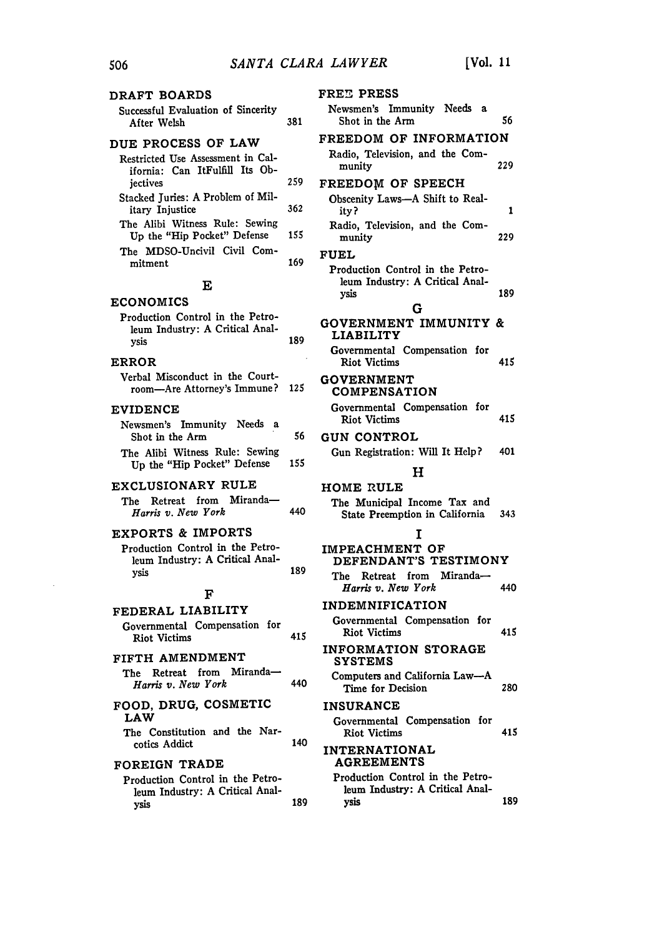| DRAFT BOARDS                                                                    |     | Fl |
|---------------------------------------------------------------------------------|-----|----|
| Successful Evaluation of Sincerity<br>After Welsh                               | 381 |    |
| DUE PROCESS OF LAW                                                              |     | F) |
| Restricted Use Assessment in Cal-<br>ifornia: Can ItFulfill Its Ob-<br>jectives | 259 | F1 |
| Stacked Juries: A Problem of Mil-                                               |     |    |
| itary Injustice                                                                 | 362 |    |
| The Alibi Witness Rule: Sewing<br>Up the "Hip Pocket" Defense                   | 155 |    |
| The MDSO-Uncivil Civil Com-<br>mitment                                          | 169 | F١ |
| Е                                                                               |     |    |
| <b>ECONOMICS</b>                                                                |     |    |
| Production Control in the Petro-<br>leum Industry: A Critical Anal-<br>ysis     | 189 | G  |
| <b>ERROR</b>                                                                    |     |    |
| Verbal Misconduct in the Court-<br>room-Are Attorney's Immune?                  | 125 | G  |
| <b>EVIDENCE</b>                                                                 |     |    |
| Newsmen's Immunity Needs a<br>Shot in the Arm                                   | 56  | G  |
| The Alibi Witness Rule: Sewing<br>Up the "Hip Pocket" Defense                   | 155 |    |
| EXCLUSIONARY RULE<br>Retreat from Miranda-<br>The<br>Harris v. New York         | 440 | н  |
| EXPORTS & IMPORTS                                                               |     |    |
| Production Control in the Petro-<br>leum Industry: A Critical Anal-<br>ysis     | 189 | IJ |
|                                                                                 |     |    |
| F                                                                               |     | IJ |
| FEDERAL LIABILITY<br>Governmental Compensation<br>for                           |     |    |
| <b>Riot Victims</b>                                                             | 415 |    |
| FIFTH AMENDMENT                                                                 |     | IJ |
| The Retreat from Miranda-<br>Harris v. New York                                 | 440 |    |
| FOOD, DRUG, COSMETIC<br>LAW                                                     |     | Ι. |
| The Constitution and the Nar-<br>cotics Addict                                  | 140 | Ï. |
| FOREIGN TRADE                                                                   |     |    |
| Production Control in the Petro-                                                |     |    |
| leum Industry: A Critical Anal-<br>vsis                                         | 189 |    |

| <b>FREE PRESS</b>                                                           |     |
|-----------------------------------------------------------------------------|-----|
| Newsmen's Immunity Needs a<br>Shot in the Arm                               | 56  |
| FREEDOM OF INFORMATION                                                      |     |
| Radio, Television, and the Com-<br>munity                                   | 229 |
| FREEDOM OF SPEECH                                                           |     |
| Obscenity Laws-A Shift to Real-<br>ity?                                     | 1   |
| Radio, Television, and the Com-<br>munity                                   | 229 |
| <b>FUEL</b>                                                                 |     |
| Production Control in the Petro-<br>leum Industry: A Critical Anal-<br>ysis | 189 |
| G                                                                           |     |
| <b>GOVERNMENT IMMUNITY &amp;</b><br><b>LIABILITY</b>                        |     |
| Governmental Compensation for<br><b>Riot Victims</b>                        | 415 |
| <b>GOVERNMENT</b><br><b>COMPENSATION</b>                                    |     |
| Governmental Compensation<br>for<br><b>Riot Victims</b>                     | 415 |
| <b>GUN CONTROL</b>                                                          |     |
| Gun Registration: Will It Help?                                             | 401 |
| н                                                                           |     |
| <b>HOME RULE</b>                                                            |     |
| The Municipal Income Tax and<br>State Preemption in California              | 343 |
| I                                                                           |     |
| IMPEACHMENT OF<br>DEFENDANT'S TESTIMONY                                     |     |
| Retreat from Miranda-<br>The<br>Harris v. New York                          | 440 |
| <b>INDEMNIFICATION</b>                                                      |     |
| Governmental Compensation for<br><b>Riot Victims</b>                        | 415 |
| <b>INFORMATION STORAGE</b><br><b>SYSTEMS</b>                                |     |
| Computers and California Law-A<br>Time for Decision                         | 280 |
| <b>INSURANCE</b>                                                            |     |
| Governmental Compensation for<br><b>Riot Victims</b>                        | 415 |
| <b>INTERNATIONAL</b><br><b>AGREEMENTS</b>                                   |     |
| Production Control in the Petro-<br>leum Industry: A Critical Anal-         |     |
| vsis                                                                        | 189 |

506

 $\sim$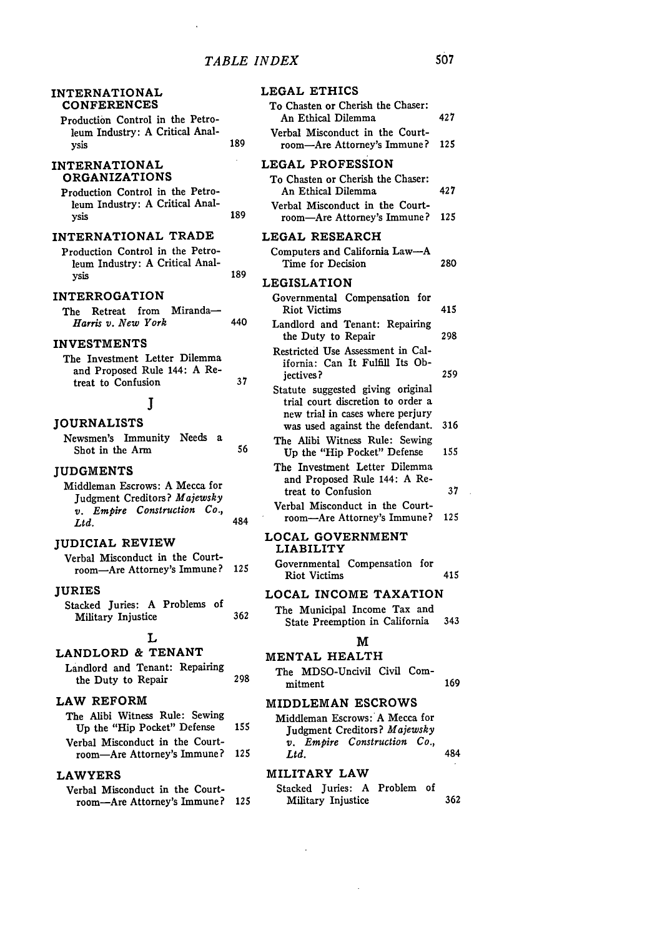|                                |     | LEGAL ETHICS                                                                                               |     |
|--------------------------------|-----|------------------------------------------------------------------------------------------------------------|-----|
| n the Petro-                   |     | To Chasten or Cherish the Chaser:<br>An Ethical Dilemma                                                    | 427 |
| Critical Anal-                 | 189 | Verbal Misconduct in the Court-<br>room-Are Attorney's Immune?                                             | 125 |
|                                |     | LEGAL PROFESSION                                                                                           |     |
| ΙŜ<br>n the Petro-             |     | To Chasten or Cherish the Chaser:<br>An Ethical Dilemma                                                    | 427 |
| Critical Anal-                 | 189 | Verbal Misconduct in the Court-<br>room-Are Attorney's Immune?                                             | 125 |
| , TRADE                        |     | LEGAL RESEARCH                                                                                             |     |
| n the Petro-<br>Critical Anal- |     | Computers and California Law-A<br>Time for Decision                                                        | 280 |
|                                | 189 | <b>LEGISLATION</b>                                                                                         |     |
| Ī<br>Miranda-                  |     | Governmental Compensation for<br><b>Riot Victims</b>                                                       | 415 |
| þ                              | 440 | Landlord and Tenant: Repairing<br>the Duty to Repair                                                       | 298 |
| ter Dilemma<br>: 144: A Re-    | 37  | Restricted Use Assessment in Cal-<br>ifornia: Can It Fulfill Its Ob-<br>jectives?                          | 259 |
|                                |     | Statute suggested giving original<br>trial court discretion to order a<br>new trial in cases where perjury |     |
|                                |     | was used against the defendant.                                                                            | 316 |
| Needs<br>ty<br>- 2             | 56  | The Alibi Witness Rule: Sewing<br>Up the "Hip Pocket" Defense                                              | 155 |
| A Mecca for                    |     | The Investment Letter Dilemma<br>and Proposed Rule 144: A Re-<br>treat to Confusion                        | 37  |
| s? Majewsky                    |     | Verbal Misconduct in the Court-                                                                            |     |
| truction Co.,                  | 484 | room-Are Attorney's Immune?                                                                                | 125 |
| :w                             |     | LOCAL GOVERNMENT<br><b>LIABILITY</b>                                                                       |     |
| n the Court-<br>ey's Immune?   | 125 | Governmental Compensation for<br><b>Riot Victims</b>                                                       | 415 |
|                                |     | LOCAL INCOME TAXATION                                                                                      |     |

**LOCAL** INCOME TAXATION

The Municipal Income Tax and State Preemption in California 343

#### **M**

#### **MENTAL** HEALTH

The MDSO-Uncivil Civil Com-<br>mitment 169

#### **MIDDLEMAN** ESCROWS

| Middleman Escrows: A Mecca for |     |
|--------------------------------|-----|
| Judgment Creditors? Majewsky   |     |
| v. Empire Construction Co.,    |     |
| Ltd.                           | 484 |

#### **MILITARY LAW**

|                    | Stacked Juries: A Problem of |     |
|--------------------|------------------------------|-----|
| Military Injustice |                              | 362 |

#### INTERNATIONAL **CONFERENCES**

Production Control in leum Industry: A C ysis

#### INTERNATIONAL ORGANIZATION

Production Control in leum Industry: A C ysis

#### INTERNATIONAL

Production Control in leum Industry: **A** Cysis ysis 189

#### INTERROGATION

|                    | The Retreat from Miranda- |     |
|--------------------|---------------------------|-----|
| Harris v. New York |                           | 440 |

#### INVESTMENTS

The Investment Let and Proposed Rule treat to Confusion **37**

#### **J**

#### JOURNALISTS

Newsmen's Immunit Shot in the Arm

#### **JUDGMENTS**

Middleman Escrows: Judgment Creditor *v. Empire Const.*<br>*Ltd. Ltd.* 484

#### JUDICIAL REVIE

Verbal Misconduct i room-Are Attorne

#### JURIES

Stacked Juries: A Problems of Military Injustice 362

#### L

#### LANDLORD **&** TENANT

Landlord and Tenant: Repairing the Duty to Repair

#### LAW REFORM

| The Alibi Witness Rule: Sewing  |     |
|---------------------------------|-----|
| Up the "Hip Pocket" Defense     | 155 |
| Verbal Misconduct in the Court- |     |
| room-Are Attorney's Immune? 125 |     |

#### **LAWYERS**

Verbal Misconduct in the Courtroom-Are Attorney's Immune? **<sup>125</sup>**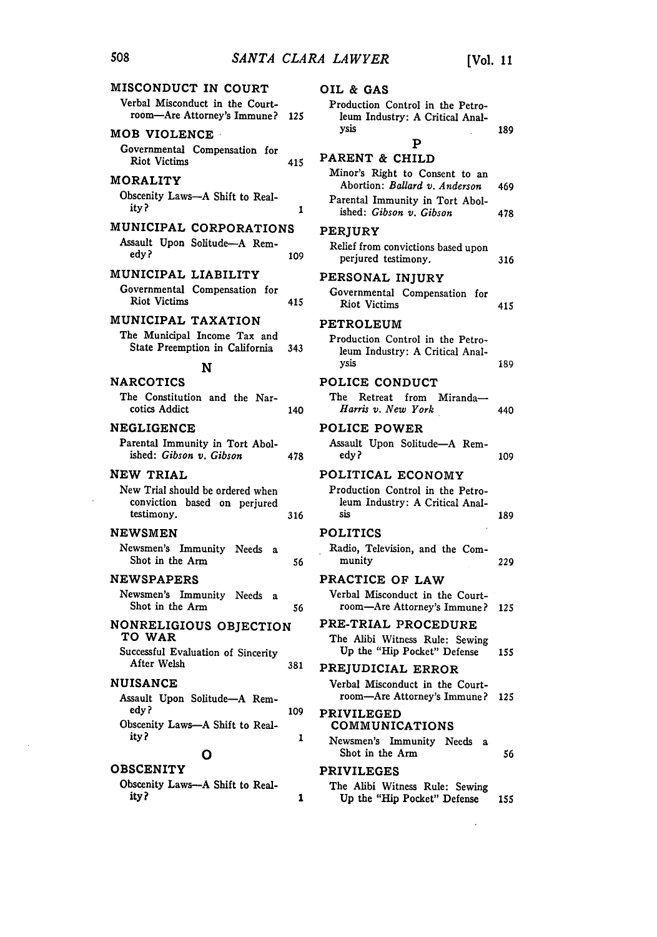| MISCONDUCT IN COURT                                                            |     | OIL & GAS                           |
|--------------------------------------------------------------------------------|-----|-------------------------------------|
| Verbal Misconduct in the Court-<br>room-Are Attorney's Immune?                 | 125 | Production C<br>leum Indust         |
| <b>MOB VIOLENCE</b>                                                            |     | ysis                                |
| Governmental Compensation for<br><b>Riot Victims</b>                           | 415 | PARENT &                            |
| <b>MORALITY</b>                                                                |     | Minor's Righ<br>Abortion: 1         |
| Obscenity Laws-A Shift to Real-<br>ity?                                        | 1   | Parental Imm<br>ished: Gibs         |
| MUNICIPAL CORPORATIONS                                                         |     | <b>PERJURY</b>                      |
| Assault Upon Solitude-A Rem-<br>edy?                                           | 109 | Relief from co<br>perjured te       |
| MUNICIPAL LIABILITY                                                            |     | PERSONAL                            |
| Governmental Compensation for<br><b>Riot Victims</b>                           | 415 | Governmental<br>Riot Victim         |
| MUNICIPAL TAXATION                                                             |     | PETROLEU                            |
| The Municipal Income Tax and<br>State Preemption in California<br>N            | 343 | Production C<br>leum Indust<br>vsis |
| <b>NARCOTICS</b>                                                               |     | POLICE CO                           |
| The Constitution and the Nar-<br>cotics Addict                                 | 140 | The Retreat<br>Harris v. N          |
| <b>NEGLIGENCE</b>                                                              |     | <b>POLICE PO</b>                    |
| Parental Immunity in Tort Abol-<br>ished: Gibson v. Gibson                     | 478 | Assault Upon<br>edy ?               |
| NEW TRIAL                                                                      |     | POLITICAL                           |
| New Trial should be ordered when<br>conviction based on perjured<br>testimony. | 316 | Production C<br>leum Indus:<br>sis  |
| <b>NEWSMEN</b>                                                                 |     | <b>POLITICS</b>                     |
| Newsmen's Immunity Needs<br>$\mathbf{a}$<br>Shot in the Arm                    | 56  | Radio, Televi<br>munity             |
| <b>NEWSPAPERS</b>                                                              |     | <b>PRACTICE</b>                     |
| Newsmen's Immunity Needs<br>a<br>Shot in the Arm                               | 56  | Verbal Misco<br>room—Are            |
| NONRELIGIOUS OBJECTION<br>TO WAR                                               |     | <b>PRE-TRIAL</b><br>The Alibi W.    |
| Successful Evaluation of Sincerity<br>After Welsh                              | 381 | Up the "Hi<br><b>PREJUDICI</b>      |
| <b>NUISANCE</b>                                                                |     | Verbal Misco                        |
| Assault Upon Solitude-A Rem-                                                   |     | room—Are                            |
| edy?<br>Obscenity Laws-A Shift to Real-                                        | 109 | <b>PRIVILEGE</b><br>COMMUNI         |
| ity?                                                                           | 1   | Newsmen's 1                         |
| Ο                                                                              |     | Shot in the                         |
| <b>OBSCENITY</b>                                                               |     | <b>PRIVILEGE</b>                    |
| Obscenity Laws--- A Shift to Real-<br>ity?                                     | 1   | The Alibi W<br>Up the "Hi           |

| 25 | Production Control in the Petro-<br>leum Industry: A Critical Anal-<br>ysis<br>Р                | 189 |
|----|-------------------------------------------------------------------------------------------------|-----|
| 15 | PARENT & CHILD<br>Minor's Right to Consent to an<br>Abortion: <i>Ballard v. Anderson</i>        | 469 |
| 1  | Parental Immunity in Tort Abol-<br>ished: Gibson v. Gibson                                      | 478 |
| 09 | <b>PERIURY</b><br>Relief from convictions based upon<br>perjured testimony.                     | 316 |
| 15 | PERSONAL INJURY<br>Governmental Compensation for<br><b>Riot Victims</b>                         | 415 |
| 43 | PETROLEUM<br>Production Control in the Petro-<br>leum Industry: A Critical Anal-<br>ysis        | 189 |
| 40 | POLICE CONDUCT<br>The Retreat from Miranda-<br>Harris v. New York                               | 440 |
| 78 | <b>POLICE POWER</b><br>Assault Upon Solitude-A Rem-<br>edy ?                                    | 109 |
| 16 | POLITICAL ECONOMY<br>Production Control in the Petro-<br>leum Industry: A Critical Anal-<br>sis | 189 |
| 56 | <b>POLITICS</b><br>Radio, Television, and the Com-<br>munity                                    | 229 |
| 56 | PRACTICE OF LAW<br>Verbal Misconduct in the Court-<br>room—Are Attorney's Immune?               | 125 |
|    | PRE-TRIAL PROCEDURE<br>The Alibi Witness Rule: Sewing<br>Up the "Hip Pocket" Defense            | 155 |
| 81 | PREJUDICIAL ERROR<br>Verbal Misconduct in the Court-<br>room—Are Attorney's Immune?             | 125 |
| 09 | <b>PRIVILEGED</b><br><b>COMMUNICATIONS</b>                                                      |     |
| 1  | Newsmen's Immunity Needs a<br>Shot in the Arm                                                   | 56  |
| 1  | <b>PRIVILEGES</b><br>The Alibi Witness Rule: Sewing<br>Up the "Hip Pocket" Defense              | 155 |

 $\sim 10^7$ 

 $\hat{\mathbf{r}}$ 

 $\sim 10^7$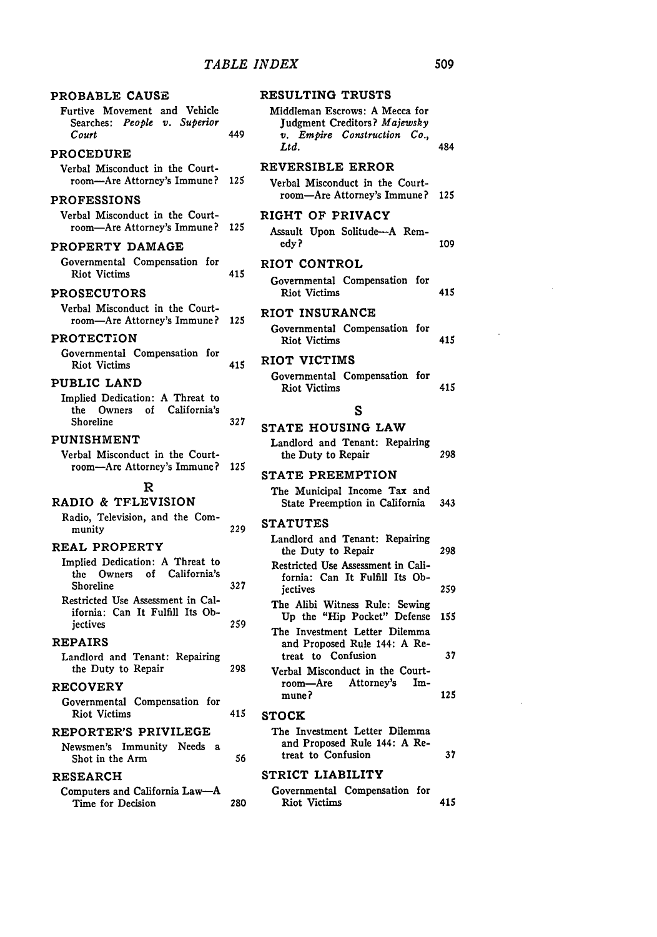| PROBABLE CAUSE<br>Furtive Movement and Vehicle<br>Searches: People v. Superior<br>Court | 449 | RESULTING TRUSTS<br>Middleman Escrows: A Mecca for<br>Judgment Creditors? Majewsky<br>v. Empire Construction Co., |     |
|-----------------------------------------------------------------------------------------|-----|-------------------------------------------------------------------------------------------------------------------|-----|
| <b>PROCEDURE</b>                                                                        |     | $\mathcal{L}td.$                                                                                                  | 484 |
| Verbal Misconduct in the Court-                                                         |     | REVERSIBLE ERROR                                                                                                  |     |
| room—Are Attorney's Immune?<br><b>PROFESSIONS</b>                                       | 125 | Verbal Misconduct in the Court-<br>room-Are Attorney's Immune?                                                    | 125 |
| Verbal Misconduct in the Court-                                                         |     | RIGHT OF PRIVACY                                                                                                  |     |
| room-Are Attorney's Immune?                                                             | 125 | Assault Upon Solitude-A Rem-<br>edv?                                                                              | 109 |
| PROPERTY DAMAGE<br>Governmental Compensation for                                        |     |                                                                                                                   |     |
| <b>Riot Victims</b>                                                                     | 415 | <b>RIOT CONTROL</b>                                                                                               |     |
| <b>PROSECUTORS</b>                                                                      |     | Governmental Compensation for<br><b>Riot Victims</b>                                                              | 415 |
| Verbal Misconduct in the Court-<br>room-Are Attorney's Immune?                          | 125 | RIOT INSURANCE                                                                                                    |     |
| <b>PROTECTION</b>                                                                       |     | Governmental Compensation for<br><b>Riot Victims</b>                                                              | 415 |
| Governmental Compensation for                                                           | 415 | RIOT VICTIMS                                                                                                      |     |
| <b>Riot Victims</b><br>PUBLIC LAND                                                      |     | Governmental Compensation for<br><b>Riot Victims</b>                                                              | 415 |
| Implied Dedication: A Threat to                                                         |     |                                                                                                                   |     |
| California's<br>the Owners<br>of<br>Shoreline                                           | 327 | S                                                                                                                 |     |
| PUNISHMENT                                                                              |     | STATE HOUSING LAW                                                                                                 |     |
| Verbal Misconduct in the Court-                                                         |     | Landlord and Tenant: Repairing<br>the Duty to Repair                                                              | 298 |
| room-Are Attorney's Immune?                                                             | 125 | <b>STATE PREEMPTION</b>                                                                                           |     |
| R                                                                                       |     | The Municipal Income Tax and                                                                                      |     |
| RADIO & TFLEVISION                                                                      |     | State Preemption in California                                                                                    | 343 |
| Radio, Television, and the Com-                                                         |     | <b>STATUTES</b>                                                                                                   |     |
| munity                                                                                  | 229 | Landlord and Tenant: Repairing                                                                                    |     |
| <b>REAL PROPERTY</b><br>Implied Dedication: A Threat to                                 |     | the Duty to Repair                                                                                                | 298 |
| the Owners of California's<br>Shoreline                                                 | 327 | Restricted Use Assessment in Cali-<br>fornia: Can It Fulfill Its Ob-<br>iectives                                  | 259 |
| Restricted Use Assessment in Cal-                                                       |     | The Alibi Witness Rule: Sewing                                                                                    |     |
| ifornia: Can It Fulfill Its Ob-                                                         | 259 | Up the "Hip Pocket" Defense                                                                                       | 155 |
| jectives<br><b>REPAIRS</b>                                                              |     | The Investment Letter Dilemma<br>and Proposed Rule 144: A Re-                                                     |     |
| Landlord and Tenant: Repairing<br>the Duty to Repair                                    | 298 | treat to Confusion<br>Verbal Misconduct in the Court-                                                             | 37  |
| <b>RECOVERY</b>                                                                         |     | Attorney's<br>Im-<br>room—Are                                                                                     |     |
| Governmental Compensation for<br><b>Riot Victims</b>                                    | 415 | mune?                                                                                                             | 125 |
|                                                                                         |     | <b>STOCK</b><br>The Investment Letter Dilemma                                                                     |     |
| <b>REPORTER'S PRIVILEGE</b><br>Newsmen's Immunity Needs a                               |     | and Proposed Rule 144: A Re-                                                                                      |     |
| Shot in the Arm                                                                         | 56  | treat to Confusion                                                                                                | 37  |
| <b>RESEARCH</b>                                                                         |     | STRICT LIABILITY                                                                                                  |     |
| Computers and California Law-A<br>Time for Decision                                     | 280 | Governmental Compensation for<br><b>Riot Victims</b>                                                              | 415 |
|                                                                                         |     |                                                                                                                   |     |

|--|

 $\ddot{\phantom{a}}$ 

 $\ddot{\phantom{a}}$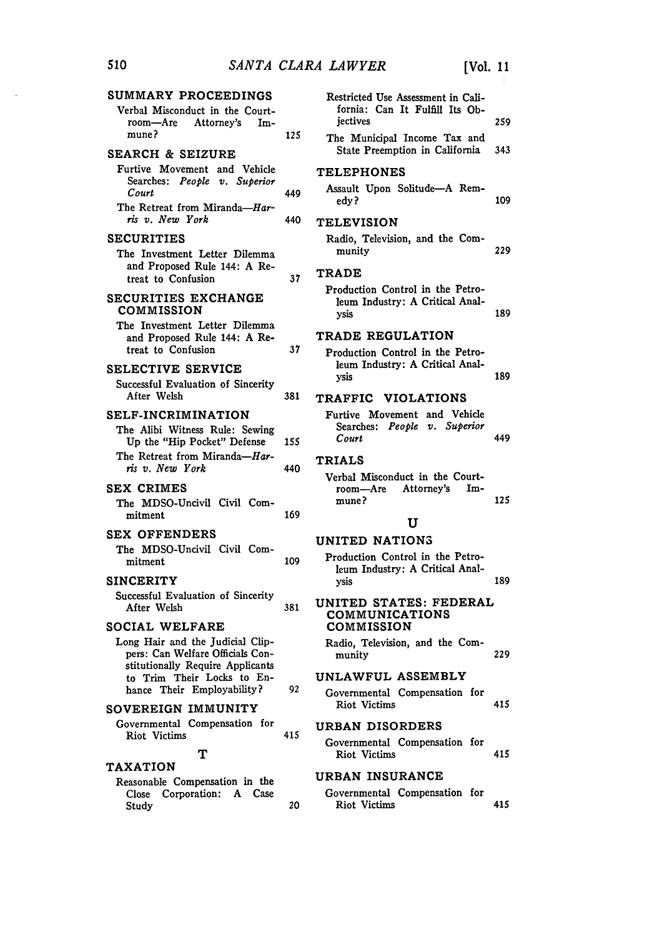| SUMMARY PROCEEDINGS                                                                 |     | Restricted Use Assessment in Cali-                             |      |
|-------------------------------------------------------------------------------------|-----|----------------------------------------------------------------|------|
| Verbal Misconduct in the Court-<br>Attorney's<br>room—Are<br>Im-                    |     | fornia: Can It Fulfill Its Ob-<br>jectives                     | 259  |
| mune?<br><b>SEARCH &amp; SEIZURE</b>                                                | 125 | The Municipal Income Tax and<br>State Preemption in California | 343  |
| Furtive Movement and Vehicle                                                        |     |                                                                |      |
| Searches: People v. Superior<br>Court                                               | 449 | <b>TELEPHONES</b><br>Assault Upon Solitude-A Rem-              |      |
| The Retreat from Miranda-Har-<br>ris v. New York                                    | 440 | edy ?                                                          | 109  |
|                                                                                     |     | <b>TELEVISION</b>                                              |      |
| <b>SECURITIES</b>                                                                   |     | Radio, Television, and the Com-<br>munity                      | 229  |
| The Investment Letter Dilemma<br>and Proposed Rule 144: A Re-<br>treat to Confusion | 37  | <b>TRADE</b>                                                   |      |
|                                                                                     |     | Production Control in the Petro-                               |      |
| SECURITIES EXCHANGE<br>COMMISSION                                                   |     | leum Industry: A Critical Anal-<br>ysis                        | 189  |
| The Investment Letter Dilemma                                                       |     | TRADE REGULATION                                               |      |
| and Proposed Rule 144: A Re-<br>treat to Confusion                                  | 37  | Production Control in the Petro-                               |      |
| SELECTIVE SERVICE                                                                   |     | leum Industry: A Critical Anal-                                |      |
| Successful Evaluation of Sincerity                                                  |     | vsis                                                           | 189  |
| After Welsh                                                                         | 381 | TRAFFIC VIOLATIONS                                             |      |
| <b>SELF-INCRIMINATION</b>                                                           |     | Furtive Movement and Vehicle                                   |      |
| The Alibi Witness Rule: Sewing                                                      |     | Searches: People v. Superior                                   |      |
| Up the "Hip Pocket" Defense                                                         | 155 | Court                                                          | 449  |
| The Retreat from Miranda-Har-                                                       |     | <b>TRIALS</b>                                                  |      |
| ris v. New York                                                                     | 440 | Verbal Misconduct in the Court-                                |      |
| <b>SEX CRIMES</b>                                                                   |     | room—Are<br>Attorney's<br>Im-                                  |      |
| The MDSO-Uncivil Civil Com-                                                         |     | mune?                                                          | 125  |
| mitment                                                                             | 169 | U                                                              |      |
| <b>SEX OFFENDERS</b>                                                                |     | UNITED NATIONS                                                 |      |
| The MDSO-Uncivil Civil Com-<br>mitment                                              | 109 | Production Control in the Petro-                               |      |
|                                                                                     |     | leum Industry: A Critical Anal-                                |      |
| <b>SINCERITY</b>                                                                    |     | ysis                                                           | 189  |
| Successful Evaluation of Sincerity<br>After Welsh                                   | 381 | UNITED STATES: FEDERAL<br>COMMUNICATIONS                       |      |
| SOCIAL WELFARE                                                                      |     | <b>COMMISSION</b>                                              |      |
| Long Hair and the Judicial Clip-                                                    |     | Radio, Television, and the Com-                                |      |
| pers: Can Welfare Officials Con-<br>stitutionally Require Applicants                |     | munity                                                         | 229  |
| to Trim Their Locks to En-                                                          |     | UNLAWFUL ASSEMBLY                                              |      |
| hance Their Employability?                                                          | 92  | Governmental Compensation for                                  |      |
| SOVEREIGN IMMUNITY                                                                  |     | Riot Victims                                                   | 415  |
| Governmental Compensation for                                                       |     | URBAN DISORDERS                                                |      |
| Riot Victims                                                                        | 415 | Governmental Compensation for                                  |      |
| Т<br><b>TAXATION</b>                                                                |     | <b>Riot Victims</b>                                            | 415  |
| Reasonable Compensation in the                                                      |     | URBAN INSURANCE                                                |      |
| Corporation:<br>A<br>Case<br>Close<br>Study                                         | 20  | Governmental Compensation for<br><b>Riot Victims</b>           | 415. |
|                                                                                     |     |                                                                |      |

 $\hat{\mathcal{A}}$